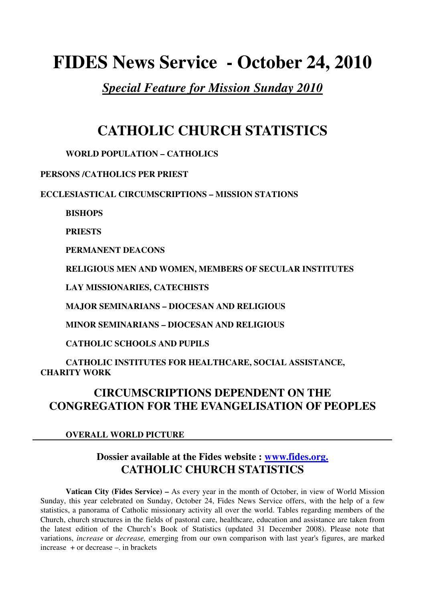# **FIDES News Service - October 24, 2010**

*Special Feature for Mission Sunday 2010*

# **CATHOLIC CHURCH STATISTICS**

### **WORLD POPULATION – CATHOLICS**

### **PERSONS /CATHOLICS PER PRIEST**

**ECCLESIASTICAL CIRCUMSCRIPTIONS – MISSION STATIONS** 

**BISHOPS** 

**PRIESTS** 

**PERMANENT DEACONS** 

 **RELIGIOUS MEN AND WOMEN, MEMBERS OF SECULAR INSTITUTES** 

 **LAY MISSIONARIES, CATECHISTS** 

 **MAJOR SEMINARIANS – DIOCESAN AND RELIGIOUS** 

 **MINOR SEMINARIANS – DIOCESAN AND RELIGIOUS** 

 **CATHOLIC SCHOOLS AND PUPILS** 

 **CATHOLIC INSTITUTES FOR HEALTHCARE, SOCIAL ASSISTANCE, CHARITY WORK** 

# **CIRCUMSCRIPTIONS DEPENDENT ON THE CONGREGATION FOR THE EVANGELISATION OF PEOPLES**

### **OVERALL WORLD PICTURE**

# **Dossier available at the Fides website : www.fides.org. CATHOLIC CHURCH STATISTICS**

**Vatican City (Fides Service) –** As every year in the month of October, in view of World Mission Sunday, this year celebrated on Sunday, October 24, Fides News Service offers, with the help of a few statistics, a panorama of Catholic missionary activity all over the world. Tables regarding members of the Church, church structures in the fields of pastoral care, healthcare, education and assistance are taken from the latest edition of the Church's Book of Statistics (updated 31 December 2008). Please note that variations, *increase* or *decrease,* emerging from our own comparison with last year's figures, are marked increase + or decrease –. in brackets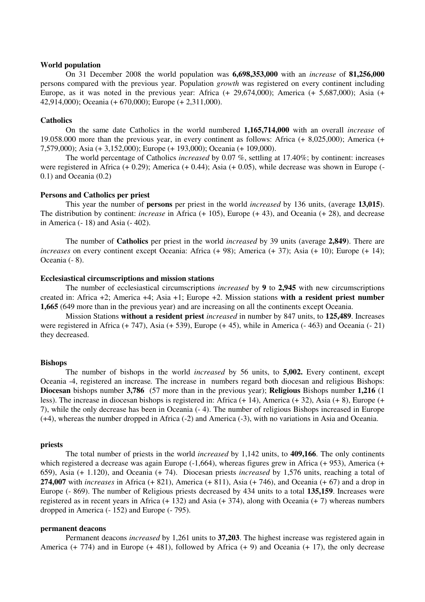#### **World population**

 On 31 December 2008 the world population was **6,698,353,000** with an *increase* of **81,256,000** persons compared with the previous year. Population *growth* was registered on every continent including Europe, as it was noted in the previous year: Africa (+ 29,674,000); America (+ 5,687,000); Asia (+ 42,914,000); Oceania (+ 670,000); Europe (+ 2,311,000).

#### **Catholics**

On the same date Catholics in the world numbered **1,165,714,000** with an overall *increase* of 19.058.000 more than the previous year, in every continent as follows: Africa (+ 8,025,000); America (+ 7,579,000); Asia (+ 3,152,000); Europe (+ 193,000); Oceania (+ 109,000).

The world percentage of Catholics *increased* by 0.07 %, settling at 17.40%; by continent: increases were registered in Africa  $(+ 0.29)$ ; America  $(+ 0.44)$ ; Asia  $(+ 0.05)$ , while decrease was shown in Europe  $(-1.04)$ 0.1) and Oceania (0.2)

#### **Persons and Catholics per priest**

This year the number of **persons** per priest in the world *increased* by 136 units, (average **13,015**). The distribution by continent: *increase* in Africa (+ 105), Europe (+ 43), and Oceania (+ 28), and decrease in America (- 18) and Asia (- 402).

The number of **Catholics** per priest in the world *increased* by 39 units (average **2,849**). There are *increases* on every continent except Oceania: Africa (+ 98); America (+ 37); Asia (+ 10); Europe (+ 14); Oceania (- 8).

#### **Ecclesiastical circumscriptions and mission stations**

The number of ecclesiastical circumscriptions *increased* by **9** to **2,945** with new circumscriptions created in: Africa +2; America +4; Asia +1; Europe +2. Mission stations **with a resident priest number 1,665** (649 more than in the previous year) and are increasing on all the continents except Oceania.

Mission Stations **without a resident priest** *increased* in number by 847 units, to **125,489**. Increases were registered in Africa (+ 747), Asia (+ 539), Europe (+ 45), while in America (- 463) and Oceania (- 21) they decreased.

#### **Bishops**

The number of bishops in the world *increased* by 56 units, to **5,002.** Every continent, except Oceania -4, registered an increase*.* The increase in numbers regard both diocesan and religious Bishops: **Diocesan** bishops number **3,786** (57 more than in the previous year); **Religious** Bishops number **1,216** (1 less). The increase in diocesan bishops is registered in: Africa (+ 14), America (+ 32), Asia (+ 8), Europe (+ 7), while the only decrease has been in Oceania (- 4). The number of religious Bishops increased in Europe (+4), whereas the number dropped in Africa (-2) and America (-3), with no variations in Asia and Oceania.

#### **priests**

The total number of priests in the world *increased* by 1,142 units, to **409,166**. The only continents which registered a decrease was again Europe (-1,664), whereas figures grew in Africa (+ 953), America (+ 659), Asia (+ 1.120), and Oceania (+ 74). Diocesan priests *increased* by 1,576 units, reaching a total of **274,007** with *increases* in Africa (+ 821), America (+ 811), Asia (+ 746), and Oceania (+ 67) and a drop in Europe (- 869). The number of Religious priests decreased by 434 units to a total **135,159**. Increases were registered as in recent years in Africa (+ 132) and Asia (+ 374), along with Oceania (+ 7) whereas numbers dropped in America (- 152) and Europe (- 795).

#### **permanent deacons**

Permanent deacons *increased* by 1,261 units to **37,203**. The highest increase was registered again in America (+ 774) and in Europe (+ 481), followed by Africa (+ 9) and Oceania (+ 17), the only decrease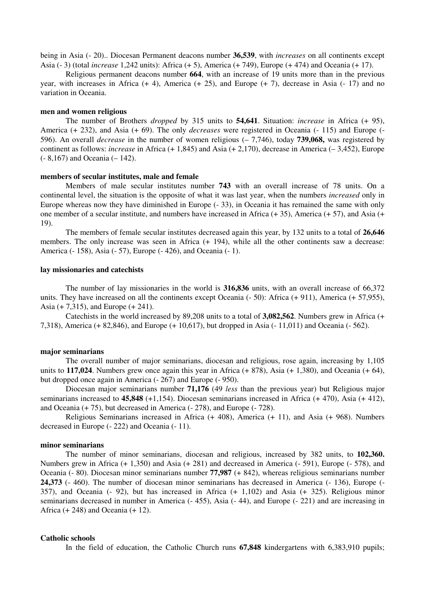being in Asia (- 20).. Diocesan Permanent deacons number **36,539**, with *increases* on all continents except Asia (- 3) (total *increase* 1,242 units): Africa (+ 5), America (+ 749), Europe (+ 474) and Oceania (+ 17).

Religious permanent deacons number **664**, with an increase of 19 units more than in the previous year, with increases in Africa  $(+ 4)$ , America  $(+ 25)$ , and Europe  $(+ 7)$ , decrease in Asia  $(-17)$  and no variation in Oceania.

#### **men and women religious**

The number of Brothers *dropped* by 315 units to **54,641**. Situation: *increase* in Africa (+ 95), America (+ 232), and Asia (+ 69). The only *decreases* were registered in Oceania (- 115) and Europe (- 596). An overall *decrease* in the number of women religious (– 7,746), today **739,068,** was registered by continent as follows: *increase* in Africa (+ 1,845) and Asia (+ 2,170), decrease in America (– 3,452), Europe (- 8,167) and Oceania (– 142).

#### **members of secular institutes, male and female**

 Members of male secular institutes number **743** with an overall increase of 78 units. On a continental level, the situation is the opposite of what it was last year, when the numbers *increased* only in Europe whereas now they have diminished in Europe (- 33), in Oceania it has remained the same with only one member of a secular institute, and numbers have increased in Africa (+ 35), America (+ 57), and Asia (+ 19).

The members of female secular institutes decreased again this year, by 132 units to a total of **26,646**  members. The only increase was seen in Africa (+ 194), while all the other continents saw a decrease: America (- 158), Asia (- 57), Europe (- 426), and Oceania (- 1).

#### **lay missionaries and catechists**

The number of lay missionaries in the world is **316,836** units, with an overall increase of 66,372 units. They have increased on all the continents except Oceania (- 50): Africa (+ 911), America (+ 57,955), Asia (+ 7,315), and Europe (+ 241).

Catechists in the world increased by 89,208 units to a total of **3,082,562**. Numbers grew in Africa (+ 7,318), America (+ 82,846), and Europe (+ 10,617), but dropped in Asia (- 11,011) and Oceania (- 562).

#### **major seminarians**

The overall number of major seminarians, diocesan and religious, rose again, increasing by 1,105 units to **117,024**. Numbers grew once again this year in Africa (+ 878), Asia (+ 1,380), and Oceania (+ 64), but dropped once again in America (- 267) and Europe (- 950).

Diocesan major seminarians number **71,176** (49 *less* than the previous year) but Religious major seminarians increased to **45,848** (+1,154). Diocesan seminarians increased in Africa (+ 470), Asia (+ 412), and Oceania (+ 75), but decreased in America (- 278), and Europe (- 728).

Religious Seminarians increased in Africa (+ 408), America (+ 11), and Asia (+ 968). Numbers decreased in Europe (- 222) and Oceania (- 11).

#### **minor seminarians**

The number of minor seminarians, diocesan and religious, increased by 382 units, to **102,360.** Numbers grew in Africa (+ 1,350) and Asia (+ 281) and decreased in America (- 591), Europe (- 578), and Oceania (- 80). Diocesan minor seminarians number **77,987** (+ 842), whereas religious seminarians number **24,373** (- 460). The number of diocesan minor seminarians has decreased in America (- 136), Europe (- 357), and Oceania (- 92), but has increased in Africa (+ 1,102) and Asia (+ 325). Religious minor seminarians decreased in number in America (- 455), Asia (- 44), and Europe (- 221) and are increasing in Africa  $(+ 248)$  and Oceania  $(+ 12)$ .

#### **Catholic schools**

In the field of education, the Catholic Church runs **67,848** kindergartens with 6,383,910 pupils;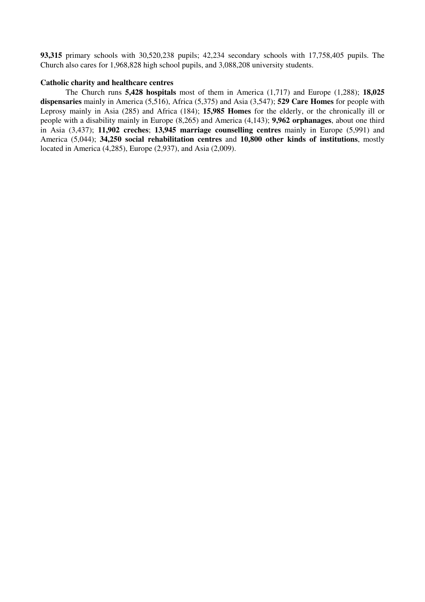**93,315** primary schools with 30,520,238 pupils; 42,234 secondary schools with 17,758,405 pupils. The Church also cares for 1,968,828 high school pupils, and 3,088,208 university students.

#### **Catholic charity and healthcare centres**

The Church runs **5,428 hospitals** most of them in America (1,717) and Europe (1,288); **18,025 dispensaries** mainly in America (5,516), Africa (5,375) and Asia (3,547); **529 Care Homes** for people with Leprosy mainly in Asia (285) and Africa (184); **15,985 Homes** for the elderly, or the chronically ill or people with a disability mainly in Europe (8,265) and America (4,143); **9,962 orphanages**, about one third in Asia (3,437); **11,902 creches**; **13,945 marriage counselling centres** mainly in Europe (5,991) and America (5,044); **34,250 social rehabilitation centres** and **10,800 other kinds of institutions**, mostly located in America (4,285), Europe (2,937), and Asia (2,009).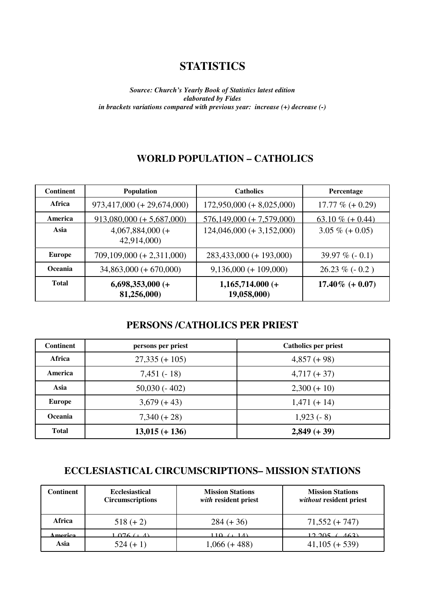# **STATISTICS**

*Source: Church's Yearly Book of Statistics latest edition elaborated by Fides in brackets variations compared with previous year: increase (+) decrease (-)* 

### **WORLD POPULATION – CATHOLICS**

| <b>Continent</b> | <b>Population</b>                 | <b>Catholics</b>                  | Percentage         |
|------------------|-----------------------------------|-----------------------------------|--------------------|
| Africa           | $973,417,000 (+ 29,674,000)$      | $172,950,000 (+ 8,025,000)$       | 17.77 $% (+0.29)$  |
| America          | $913,080,000 (+ 5,687,000)$       | $576,149,000 (+ 7,579,000)$       | 63.10 % $(+ 0.44)$ |
| Asia             | $4,067,884,000$ (+<br>42,914,000) | $124,046,000 (+ 3,152,000)$       | $3.05\% (+ 0.05)$  |
| <b>Europe</b>    | $709,109,000 (+ 2,311,000)$       | 283,433,000 (+ 193,000)           | 39.97 % $(-0.1)$   |
| Oceania          | $34,863,000 (+ 670,000)$          | $9,136,000 (+ 109,000)$           | $26.23 \% (-0.2)$  |
| <b>Total</b>     | $6,698,353,000 (+$<br>81,256,000) | $1,165,714.000 (+$<br>19,058,000) | $17.40\%$ (+ 0.07) |

### **PERSONS /CATHOLICS PER PRIEST**

| <b>Continent</b> | persons per priest | <b>Catholics per priest</b> |
|------------------|--------------------|-----------------------------|
| Africa           | $27,335 (+ 105)$   | $4,857 (+ 98)$              |
| America          | $7,451(-18)$       | $4,717 (+ 37)$              |
| Asia             | $50,030(-402)$     | $2,300 (+ 10)$              |
| <b>Europe</b>    | $3,679 (+ 43)$     | $1,471 (+ 14)$              |
| Oceania          | $7,340 (+ 28)$     | $1,923(-8)$                 |
| <b>Total</b>     | $13,015 (+ 136)$   | $2,849 (+ 39)$              |

# **ECCLESIASTICAL CIRCUMSCRIPTIONS– MISSION STATIONS**

| <b>Continent</b> | <b>Ecclesiastical</b><br><b>Circumscriptions</b> | <b>Mission Stations</b><br>with resident priest | <b>Mission Stations</b><br>without resident priest |
|------------------|--------------------------------------------------|-------------------------------------------------|----------------------------------------------------|
| Africa           | $518 (+ 2)$                                      | $284 (+ 36)$                                    | $71,552 (+ 747)$                                   |
| merica           | $\Omega$ 6 ( $\pm$ A)                            | 110 $(11)$                                      | <u> 10 005 </u><br>(163)                           |
| Asia             | $524 (+ 1)$                                      | $1,066 (+ 488)$                                 | $41,105 (+ 539)$                                   |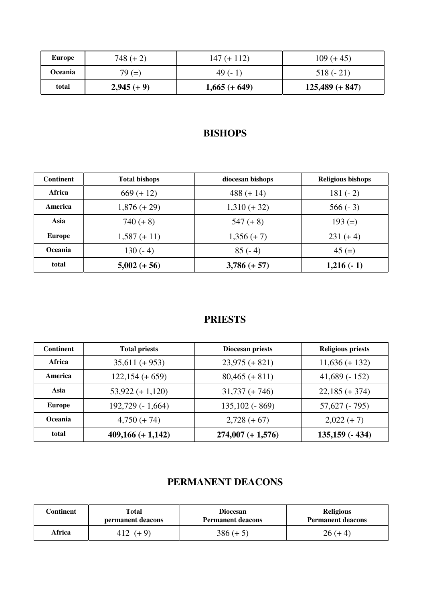| Europe  | $748 (+ 2)$   | $147 (+ 112)$   | $109 (+ 45)$      |
|---------|---------------|-----------------|-------------------|
| Oceania | $79 (=)$      | 49 $(-1)$       | $518(-21)$        |
| total   | $2,945 (+ 9)$ | $1,665 (+ 649)$ | $125,489 (+ 847)$ |

# **BISHOPS**

| <b>Continent</b> | <b>Total bishops</b> | diocesan bishops | <b>Religious bishops</b> |
|------------------|----------------------|------------------|--------------------------|
| Africa           | $669 (+ 12)$         | $488 (+ 14)$     | $181(-2)$                |
| America          | $1,876 (+ 29)$       | $1,310 (+ 32)$   | $566(-3)$                |
| Asia             | $740 (+ 8)$          | $547 (+ 8)$      | $193 (=)$                |
| <b>Europe</b>    | $1,587 (+ 11)$       | $1,356 (+ 7)$    | $231 (+ 4)$              |
| Oceania          | $130(-4)$            | $85(-4)$         | $45 (=)$                 |
| total            | $5,002 (+ 56)$       | $3,786 (+ 57)$   | $1,216(-1)$              |

### **PRIESTS**

| <b>Continent</b> | <b>Total priests</b>   | Diocesan priests    | <b>Religious priests</b> |
|------------------|------------------------|---------------------|--------------------------|
| Africa           | $35,611 (+ 953)$       | $23,975 (+ 821)$    | $11,636 (+ 132)$         |
| America          | $122,154 (+659)$       | $80,465 (+ 811)$    | 41,689 $(-152)$          |
| Asia             | $53,922 (+ 1,120)$     | $31,737 (+ 746)$    | $22,185 (+ 374)$         |
| <b>Europe</b>    | $192,729$ ( $-1,664$ ) | $135,102$ (-869)    | $57,627$ ( $-795$ )      |
| <b>Oceania</b>   | $4,750 (+ 74)$         | $2,728 (+ 67)$      | $2,022 (+ 7)$            |
| total            | $409,166 (+ 1,142)$    | $274,007 (+ 1,576)$ | $135,159$ ( $-434$ )     |

# **PERMANENT DEACONS**

| Continent | Total             | <b>Diocesan</b>          | <b>Religious</b>         |
|-----------|-------------------|--------------------------|--------------------------|
|           | permanent deacons | <b>Permanent deacons</b> | <b>Permanent deacons</b> |
| Africa    | 412 $(+9)$        | $386 (+ 5)$              | $26 (+ 4)$               |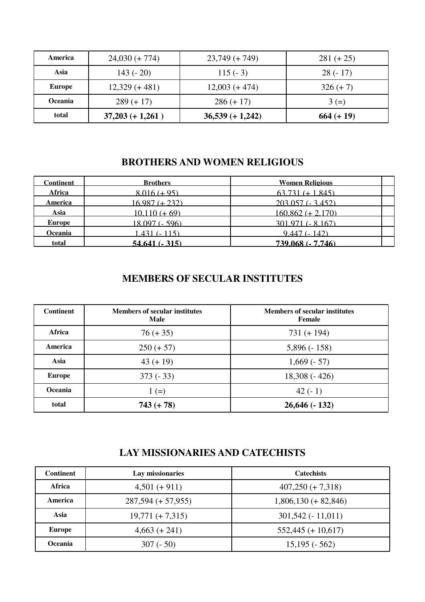| America        | $24,030 (+ 774)$   | $23,749 (+ 749)$   | $281 (+ 25)$ |
|----------------|--------------------|--------------------|--------------|
| Asia           | $143(-20)$         | $115(-3)$          | $28(-17)$    |
| <b>Europe</b>  | $12,329 (+481)$    | $12,003 (+474)$    | $326 (+ 7)$  |
| <b>Oceania</b> | $289 (+ 17)$       | $286 (+ 17)$       | $3 (=)$      |
| total          | $37,203 (+ 1,261)$ | $36,539 (+ 1,242)$ | $664 (+ 19)$ |

# **BROTHERS AND WOMEN RELIGIOUS**

| <b>Continent</b> | <b>Brothers</b> | <b>Women Religious</b> |  |
|------------------|-----------------|------------------------|--|
| <b>Africa</b>    | $8.016 (+ 95)$  | $63.731 (+ 1.845)$     |  |
| <b>America</b>   | $16987 (+ 232)$ | $203.057(-3.452)$      |  |
| Asia             | $10.110 (+ 69)$ | $160.862 (+ 2.170)$    |  |
| <b>Europe</b>    | 18.097 (- 596)  | 301.971 (- 8.167)      |  |
| Oceania          | 1431 (- 115)    | $9.447(-142)$          |  |
| total            | 54.641 (- 315)  | 739,068 (- 7,746)      |  |

### **MEMBERS OF SECULAR INSTITUTES**

| <b>Continent</b> | <b>Members of secular institutes</b><br><b>Male</b> | <b>Members of secular institutes</b><br>Female |
|------------------|-----------------------------------------------------|------------------------------------------------|
| Africa           | $76 (+ 35)$                                         | $731 (+ 194)$                                  |
| America          | $250 (+ 57)$                                        | $5,896(-158)$                                  |
| Asia             | $43 (+ 19)$                                         | $1,669(-57)$                                   |
| <b>Europe</b>    | $373(-33)$                                          | $18,308(-426)$                                 |
| Oceania          | $1 (=)$                                             | 42 $(-1)$                                      |
| total            | $743 (+ 78)$                                        | $26,646(-132)$                                 |

### **LAY MISSIONARIES AND CATECHISTS**

| <b>Continent</b> | Lay missionaries     | <b>Catechists</b>      |
|------------------|----------------------|------------------------|
| Africa           | $4,501 (+ 911)$      | $407,250 (+ 7,318)$    |
| America          | $287,594 (+ 57,955)$ | $1,806,130 (+ 82,846)$ |
| Asia             | $19,771 (+ 7,315)$   | $301,542(-11,011)$     |
| Europe           | $4,663 (+ 241)$      | $552,445 (+ 10,617)$   |
| Oceania          | $307(-50)$           | $15,195(-562)$         |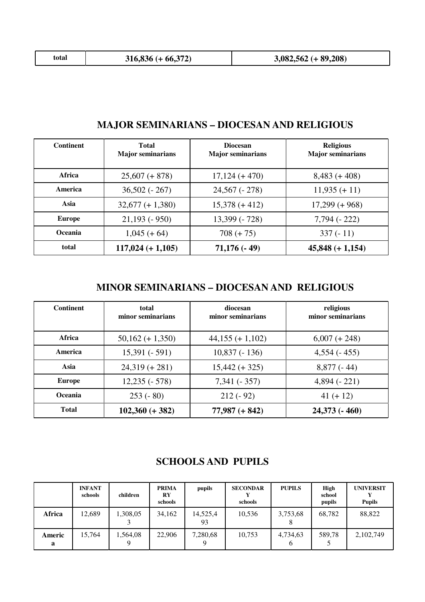| $3,082,562 (+ 89,208)$<br>$316,836 (+ 66,372)$<br>total |
|---------------------------------------------------------|
|---------------------------------------------------------|

| <b>Continent</b> | <b>Total</b><br><b>Major seminarians</b> | <b>Diocesan</b><br><b>Major seminarians</b> | <b>Religious</b><br><b>Major seminarians</b> |  |
|------------------|------------------------------------------|---------------------------------------------|----------------------------------------------|--|
| Africa           | $25,607 (+ 878)$                         | $17,124 (+470)$                             | $8,483 (+408)$                               |  |
| America          | $36,502(-267)$                           | $24,567$ ( $-278$ )                         | $11,935 (+ 11)$                              |  |
| Asia             | $32,677 (+ 1,380)$                       | $15,378 (+412)$                             | $17,299 (+ 968)$                             |  |
| <b>Europe</b>    | $21,193$ ( $-950$ )                      | 13,399 (-728)                               | $7,794(-222)$                                |  |
| <b>Oceania</b>   | $1,045 (+ 64)$                           | $708 (+ 75)$                                | $337(-11)$                                   |  |
| total            | $117,024 (+ 1,105)$                      | $71,176(-49)$                               | $45,848 (+ 1,154)$                           |  |

# **MAJOR SEMINARIANS – DIOCESAN AND RELIGIOUS**

### **MINOR SEMINARIANS – DIOCESAN AND RELIGIOUS**

| <b>Continent</b> | total<br>minor seminarians | diocesan<br>minor seminarians | religious<br>minor seminarians |  |
|------------------|----------------------------|-------------------------------|--------------------------------|--|
| Africa           | $50,162 (+ 1,350)$         | $44,155 (+ 1,102)$            | $6,007 (+ 248)$                |  |
| America          | $15,391(-591)$             | $10,837(-136)$                | $4,554$ ( $-455$ )             |  |
| Asia             | $24,319 (+ 281)$           | $15,442 (+ 325)$              | $8,877(-44)$                   |  |
| <b>Europe</b>    | $12,235(-578)$             | $7,341$ ( $-357$ )            | $4,894(-221)$                  |  |
| Oceania          | $253(-80)$                 | $212(-92)$                    | $41 (+ 12)$                    |  |
| <b>Total</b>     | $102,360 (+ 382)$          | $77,987 (+ 842)$              | $24,373$ ( $-460$ )            |  |

### **SCHOOLS AND PUPILS**

|             | <b>INFANT</b><br>schools | children | PRIMA<br>$\mathbf{R}\mathbf{Y}$<br>schools | pupils         | <b>SECONDAR</b><br>schools | <b>PUPILS</b> | High<br>school<br>pupils | <b>UNIVERSIT</b><br><b>Pupils</b> |
|-------------|--------------------------|----------|--------------------------------------------|----------------|----------------------------|---------------|--------------------------|-----------------------------------|
| Africa      | 12.689                   | ,308,05  | 34,162                                     | 14,525,4<br>93 | 10.536                     | 3,753,68      | 68.782                   | 88,822                            |
| Americ<br>a | 15,764                   | 564,08   | 22,906                                     | 7,280,68       | 10.753                     | 4,734,63      | 589,78                   | 2,102,749                         |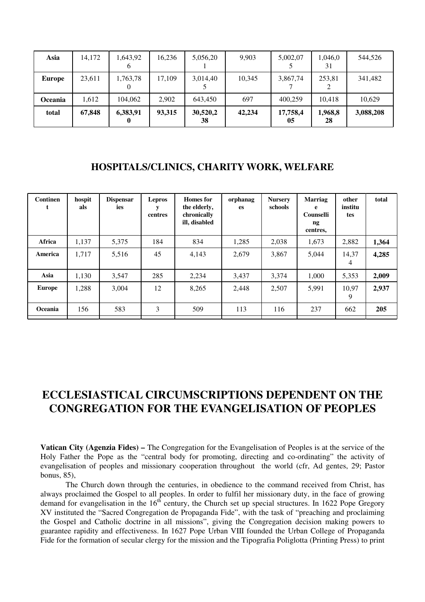| Asia           | 14,172 | 1,643,92<br>v | 16,236 | 5,056,20       | 9.903  | 5,002,07       | 1,046,0<br>31 | 544,526   |
|----------------|--------|---------------|--------|----------------|--------|----------------|---------------|-----------|
| <b>Europe</b>  | 23,611 | 1,763,78      | 17,109 | 3,014,40       | 10,345 | 3,867,74       | 253,81        | 341,482   |
| <b>Oceania</b> | 1,612  | 104,062       | 2,902  | 643,450        | 697    | 400.259        | 10.418        | 10,629    |
| total          | 67,848 | 6,383,91      | 93,315 | 30,520,2<br>38 | 42,234 | 17,758,4<br>05 | 1,968,8<br>28 | 3,088,208 |

### **HOSPITALS/CLINICS, CHARITY WORK, WELFARE**

| <b>Continen</b><br>t | hospit<br>als | <b>Dispensar</b><br>ies | <b>Lepros</b><br>centres | Homes for<br>the elderly,<br>chronically<br>ill, disabled | orphanag<br><b>es</b> | <b>Nursery</b><br>schools | Marriag<br>e<br>Counselli<br>ng<br>centres, | other<br>institu<br>tes | total |
|----------------------|---------------|-------------------------|--------------------------|-----------------------------------------------------------|-----------------------|---------------------------|---------------------------------------------|-------------------------|-------|
| Africa               | 1,137         | 5,375                   | 184                      | 834                                                       | 1,285                 | 2,038                     | 1,673                                       | 2,882                   | 1,364 |
| America              | 1,717         | 5,516                   | 45                       | 4,143                                                     | 2,679                 | 3,867                     | 5,044                                       | 14,37<br>4              | 4,285 |
| Asia                 | 1,130         | 3,547                   | 285                      | 2,234                                                     | 3,437                 | 3,374                     | 1,000                                       | 5,353                   | 2,009 |
| Europe               | 1,288         | 3,004                   | 12                       | 8,265                                                     | 2,448                 | 2,507                     | 5,991                                       | 10.97<br>9              | 2,937 |
| Oceania              | 156           | 583                     | 3                        | 509                                                       | 113                   | 116                       | 237                                         | 662                     | 205   |
|                      |               |                         |                          |                                                           |                       |                           |                                             |                         |       |

# **ECCLESIASTICAL CIRCUMSCRIPTIONS DEPENDENT ON THE CONGREGATION FOR THE EVANGELISATION OF PEOPLES**

**Vatican City (Agenzia Fides) –** The Congregation for the Evangelisation of Peoples is at the service of the Holy Father the Pope as the "central body for promoting, directing and co-ordinating" the activity of evangelisation of peoples and missionary cooperation throughout the world (cfr, Ad gentes, 29; Pastor bonus, 85),

 The Church down through the centuries, in obedience to the command received from Christ, has always proclaimed the Gospel to all peoples. In order to fulfil her missionary duty, in the face of growing demand for evangelisation in the  $16<sup>th</sup>$  century, the Church set up special structures. In 1622 Pope Gregory XV instituted the "Sacred Congregation de Propaganda Fide", with the task of "preaching and proclaiming the Gospel and Catholic doctrine in all missions", giving the Congregation decision making powers to guarantee rapidity and effectiveness. In 1627 Pope Urban VIII founded the Urban College of Propaganda Fide for the formation of secular clergy for the mission and the Tipografia Poliglotta (Printing Press) to print